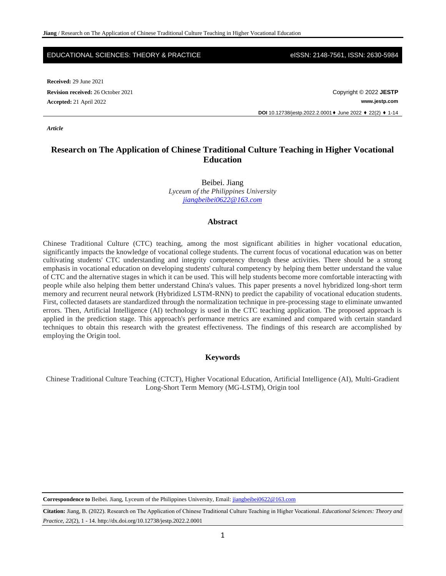### EDUCATIONAL SCIENCES: THEORY & PRACTICE eISSN: 2148-7561, ISSN: 2630-5984

**Received:** 29 June 2021 **Revision received:** 26 October 2021 **Copyright © 2022 <b>JESTP** Copyright © 2022 **JESTP** 

**Accepted:** 21 April 2022 **www.jestp.com**

**DOI** 10.12738/jestp.2022.2.0001♦ June 2022 ♦ 22(2) ♦ 1-14

*Article*

# **Research on The Application of Chinese Traditional Culture Teaching in Higher Vocational Education**

Beibei. Jiang *Lyceum of the Philippines University [jiangbeibei0622@163.com](mailto:jiangbeibei0622@163.com)*

## **Abstract**

Chinese Traditional Culture (CTC) teaching, among the most significant abilities in higher vocational education, significantly impacts the knowledge of vocational college students. The current focus of vocational education was on better cultivating students' CTC understanding and integrity competency through these activities. There should be a strong emphasis in vocational education on developing students' cultural competency by helping them better understand the value of CTC and the alternative stages in which it can be used. This will help students become more comfortable interacting with people while also helping them better understand China's values. This paper presents a novel hybridized long-short term memory and recurrent neural network (Hybridized LSTM-RNN) to predict the capability of vocational education students. First, collected datasets are standardized through the normalization technique in pre-processing stage to eliminate unwanted errors. Then, Artificial Intelligence (AI) technology is used in the CTC teaching application. The proposed approach is applied in the prediction stage. This approach's performance metrics are examined and compared with certain standard techniques to obtain this research with the greatest effectiveness. The findings of this research are accomplished by employing the Origin tool.

## **Keywords**

Chinese Traditional Culture Teaching (CTCT), Higher Vocational Education, Artificial Intelligence (AI), Multi-Gradient Long-Short Term Memory (MG-LSTM), Origin tool

**Correspondence to** Beibei. Jiang, Lyceum of the Philippines University, Email[: jiangbeibei0622@163.com](mailto:jiangbeibei0622@163.com)

**Citation:** Jiang, B. (2022). Research on The Application of Chinese Traditional Culture Teaching in Higher Vocational. *Educational Sciences: Theory and Practice, 22*(2), 1 - 14. http://dx.doi.org/10.12738/jestp.2022.2.0001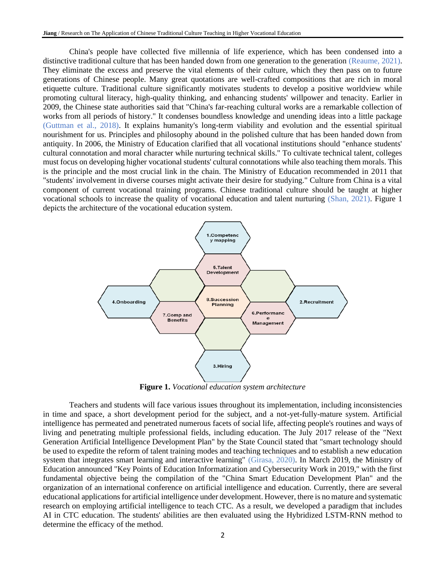China's people have collected five millennia of life experience, which has been condensed into a distinctive traditional culture that has been handed down from one generation to the generation (Reaume, 2021). They eliminate the excess and preserve the vital elements of their culture, which they then pass on to future generations of Chinese people. Many great quotations are well-crafted compositions that are rich in moral etiquette culture. Traditional culture significantly motivates students to develop a positive worldview while promoting cultural literacy, high-quality thinking, and enhancing students' willpower and tenacity. Earlier in 2009, the Chinese state authorities said that "China's far-reaching cultural works are a remarkable collection of works from all periods of history." It condenses boundless knowledge and unending ideas into a little package (Guttman et al., 2018). It explains humanity's long-term viability and evolution and the essential spiritual nourishment for us. Principles and philosophy abound in the polished culture that has been handed down from antiquity. In 2006, the Ministry of Education clarified that all vocational institutions should "enhance students' cultural connotation and moral character while nurturing technical skills." To cultivate technical talent, colleges must focus on developing higher vocational students' cultural connotations while also teaching them morals. This is the principle and the most crucial link in the chain. The Ministry of Education recommended in 2011 that "students' involvement in diverse courses might activate their desire for studying." Culture from China is a vital component of current vocational training programs. Chinese traditional culture should be taught at higher vocational schools to increase the quality of vocational education and talent nurturing (Shan, 2021). Figure 1 depicts the architecture of the vocational education system.



**Figure 1.** *Vocational education system architecture*

Teachers and students will face various issues throughout its implementation, including inconsistencies in time and space, a short development period for the subject, and a not-yet-fully-mature system. Artificial intelligence has permeated and penetrated numerous facets of social life, affecting people's routines and ways of living and penetrating multiple professional fields, including education. The July 2017 release of the "Next Generation Artificial Intelligence Development Plan" by the State Council stated that "smart technology should be used to expedite the reform of talent training modes and teaching techniques and to establish a new education system that integrates smart learning and interactive learning" (Girasa, 2020). In March 2019, the Ministry of Education announced "Key Points of Education Informatization and Cybersecurity Work in 2019," with the first fundamental objective being the compilation of the "China Smart Education Development Plan" and the organization of an international conference on artificial intelligence and education. Currently, there are several educational applications for artificial intelligence under development. However, there is no mature and systematic research on employing artificial intelligence to teach CTC. As a result, we developed a paradigm that includes AI in CTC education. The students' abilities are then evaluated using the Hybridized LSTM-RNN method to determine the efficacy of the method.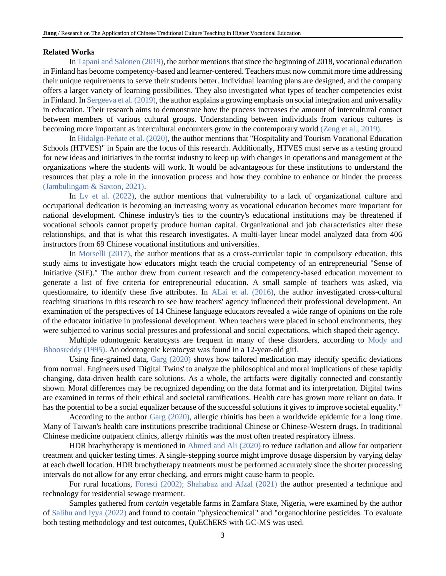## **Related Works**

In Tapani and Salonen (2019), the author mentions that since the beginning of 2018, vocational education in Finland has become competency-based and learner-centered. Teachers must now commit more time addressing their unique requirements to serve their students better. Individual learning plans are designed, and the company offers a larger variety of learning possibilities. They also investigated what types of teacher competencies exist in Finland. In Sergeeva et al. (2019), the author explains a growing emphasis on social integration and universality in education. Their research aims to demonstrate how the process increases the amount of intercultural contact between members of various cultural groups. Understanding between individuals from various cultures is becoming more important as intercultural encounters grow in the contemporary world (Zeng et al., 2019).

In Hidalgo-Peñate et al. (2020), the author mentions that "Hospitality and Tourism Vocational Education Schools (HTVES)" in Spain are the focus of this research. Additionally, HTVES must serve as a testing ground for new ideas and initiatives in the tourist industry to keep up with changes in operations and management at the organizations where the students will work. It would be advantageous for these institutions to understand the resources that play a role in the innovation process and how they combine to enhance or hinder the process (Jambulingam & Saxton, 2021).

In Ly et al. (2022), the author mentions that vulnerability to a lack of organizational culture and occupational dedication is becoming an increasing worry as vocational education becomes more important for national development. Chinese industry's ties to the country's educational institutions may be threatened if vocational schools cannot properly produce human capital. Organizational and job characteristics alter these relationships, and that is what this research investigates. A multi-layer linear model analyzed data from 406 instructors from 69 Chinese vocational institutions and universities.

In Morselli (2017), the author mentions that as a cross-curricular topic in compulsory education, this study aims to investigate how educators might teach the crucial competency of an entrepreneurial "Sense of Initiative (SIE)." The author drew from current research and the competency-based education movement to generate a list of five criteria for entrepreneurial education. A small sample of teachers was asked, via questionnaire, to identify these five attributes. In ALai et al. (2016), the author investigated cross-cultural teaching situations in this research to see how teachers' agency influenced their professional development. An examination of the perspectives of 14 Chinese language educators revealed a wide range of opinions on the role of the educator initiative in professional development. When teachers were placed in school environments, they were subjected to various social pressures and professional and social expectations, which shaped their agency.

Multiple odontogenic keratocysts are frequent in many of these disorders, according to Mody and Bhoosreddy (1995). An odontogenic keratocyst was found in a 12-year-old girl.

Using fine-grained data, Garg (2020) shows how tailored medication may identify specific deviations from normal. Engineers used 'Digital Twins' to analyze the philosophical and moral implications of these rapidly changing, data-driven health care solutions. As a whole, the artifacts were digitally connected and constantly shown. Moral differences may be recognized depending on the data format and its interpretation. Digital twins are examined in terms of their ethical and societal ramifications. Health care has grown more reliant on data. It has the potential to be a social equalizer because of the successful solutions it gives to improve societal equality."

According to the author Garg (2020), allergic rhinitis has been a worldwide epidemic for a long time. Many of Taiwan's health care institutions prescribe traditional Chinese or Chinese-Western drugs. In traditional Chinese medicine outpatient clinics, allergy rhinitis was the most often treated respiratory illness.

HDR brachytherapy is mentioned in Ahmed and Ali (2020) to reduce radiation and allow for outpatient treatment and quicker testing times. A single-stepping source might improve dosage dispersion by varying delay at each dwell location. HDR brachytherapy treatments must be performed accurately since the shorter processing intervals do not allow for any error checking, and errors might cause harm to people.

For rural locations, Foresti (2002); Shahabaz and Afzal (2021) the author presented a technique and technology for residential sewage treatment.

Samples gathered from *certain* vegetable farms in Zamfara State, Nigeria, were examined by the author of Salihu and Iyya (2022) and found to contain "physicochemical" and "organochlorine pesticides. To evaluate both testing methodology and test outcomes, QuEChERS with GC-MS was used.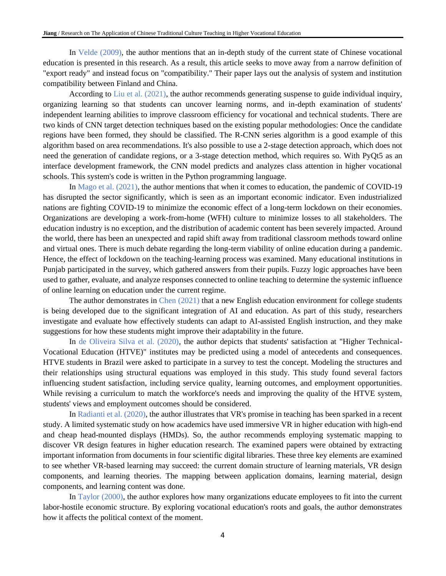In Velde (2009), the author mentions that an in-depth study of the current state of Chinese vocational education is presented in this research. As a result, this article seeks to move away from a narrow definition of "export ready" and instead focus on "compatibility." Their paper lays out the analysis of system and institution compatibility between Finland and China.

According to Liu et al. (2021), the author recommends generating suspense to guide individual inquiry, organizing learning so that students can uncover learning norms, and in-depth examination of students' independent learning abilities to improve classroom efficiency for vocational and technical students. There are two kinds of CNN target detection techniques based on the existing popular methodologies: Once the candidate regions have been formed, they should be classified. The R-CNN series algorithm is a good example of this algorithm based on area recommendations. It's also possible to use a 2-stage detection approach, which does not need the generation of candidate regions, or a 3-stage detection method, which requires so. With PyQt5 as an interface development framework, the CNN model predicts and analyzes class attention in higher vocational schools. This system's code is written in the Python programming language.

In Mago et al. (2021), the author mentions that when it comes to education, the pandemic of COVID-19 has disrupted the sector significantly, which is seen as an important economic indicator. Even industrialized nations are fighting COVID-19 to minimize the economic effect of a long-term lockdown on their economies. Organizations are developing a work-from-home (WFH) culture to minimize losses to all stakeholders. The education industry is no exception, and the distribution of academic content has been severely impacted. Around the world, there has been an unexpected and rapid shift away from traditional classroom methods toward online and virtual ones. There is much debate regarding the long-term viability of online education during a pandemic. Hence, the effect of lockdown on the teaching-learning process was examined. Many educational institutions in Punjab participated in the survey, which gathered answers from their pupils. Fuzzy logic approaches have been used to gather, evaluate, and analyze responses connected to online teaching to determine the systemic influence of online learning on education under the current regime.

The author demonstrates in Chen (2021) that a new English education environment for college students is being developed due to the significant integration of AI and education. As part of this study, researchers investigate and evaluate how effectively students can adapt to AI-assisted English instruction, and they make suggestions for how these students might improve their adaptability in the future.

In de Oliveira Silva et al. (2020), the author depicts that students' satisfaction at "Higher Technical-Vocational Education (HTVE)" institutes may be predicted using a model of antecedents and consequences. HTVE students in Brazil were asked to participate in a survey to test the concept. Modeling the structures and their relationships using structural equations was employed in this study. This study found several factors influencing student satisfaction, including service quality, learning outcomes, and employment opportunities. While revising a curriculum to match the workforce's needs and improving the quality of the HTVE system, students' views and employment outcomes should be considered.

In Radianti et al. (2020), the author illustrates that VR's promise in teaching has been sparked in a recent study. A limited systematic study on how academics have used immersive VR in higher education with high-end and cheap head-mounted displays (HMDs). So, the author recommends employing systematic mapping to discover VR design features in higher education research. The examined papers were obtained by extracting important information from documents in four scientific digital libraries. These three key elements are examined to see whether VR-based learning may succeed: the current domain structure of learning materials, VR design components, and learning theories. The mapping between application domains, learning material, design components, and learning content was done.

In Taylor (2000), the author explores how many organizations educate employees to fit into the current labor-hostile economic structure. By exploring vocational education's roots and goals, the author demonstrates how it affects the political context of the moment.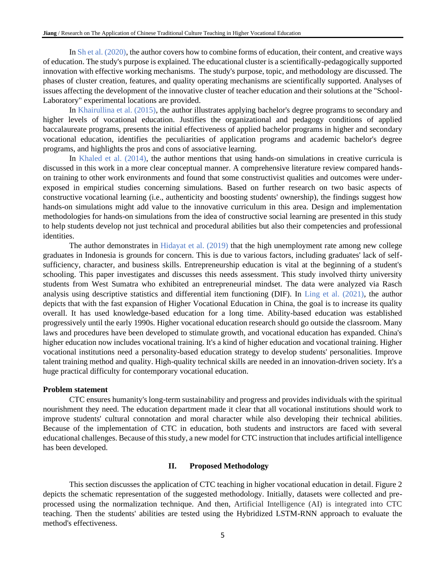In Sh et al. (2020), the author covers how to combine forms of education, their content, and creative ways of education. The study's purpose is explained. The educational cluster is a scientifically-pedagogically supported innovation with effective working mechanisms. The study's purpose, topic, and methodology are discussed. The phases of cluster creation, features, and quality operating mechanisms are scientifically supported. Analyses of issues affecting the development of the innovative cluster of teacher education and their solutions at the "School-Laboratory" experimental locations are provided.

In Khairullina et al. (2015), the author illustrates applying bachelor's degree programs to secondary and higher levels of vocational education. Justifies the organizational and pedagogy conditions of applied baccalaureate programs, presents the initial effectiveness of applied bachelor programs in higher and secondary vocational education, identifies the peculiarities of application programs and academic bachelor's degree programs, and highlights the pros and cons of associative learning.

In Khaled et al. (2014), the author mentions that using hands-on simulations in creative curricula is discussed in this work in a more clear conceptual manner. A comprehensive literature review compared handson training to other work environments and found that some constructivist qualities and outcomes were underexposed in empirical studies concerning simulations. Based on further research on two basic aspects of constructive vocational learning (i.e., authenticity and boosting students' ownership), the findings suggest how hands-on simulations might add value to the innovative curriculum in this area. Design and implementation methodologies for hands-on simulations from the idea of constructive social learning are presented in this study to help students develop not just technical and procedural abilities but also their competencies and professional identities.

The author demonstrates in Hidayat et al. (2019) that the high unemployment rate among new college graduates in Indonesia is grounds for concern. This is due to various factors, including graduates' lack of selfsufficiency, character, and business skills. Entrepreneurship education is vital at the beginning of a student's schooling. This paper investigates and discusses this needs assessment. This study involved thirty university students from West Sumatra who exhibited an entrepreneurial mindset. The data were analyzed via Rasch analysis using descriptive statistics and differential item functioning (DIF). In Ling et al. (2021), the author depicts that with the fast expansion of Higher Vocational Education in China, the goal is to increase its quality overall. It has used knowledge-based education for a long time. Ability-based education was established progressively until the early 1990s. Higher vocational education research should go outside the classroom. Many laws and procedures have been developed to stimulate growth, and vocational education has expanded. China's higher education now includes vocational training. It's a kind of higher education and vocational training. Higher vocational institutions need a personality-based education strategy to develop students' personalities. Improve talent training method and quality. High-quality technical skills are needed in an innovation-driven society. It's a huge practical difficulty for contemporary vocational education.

## **Problem statement**

CTC ensures humanity's long-term sustainability and progress and provides individuals with the spiritual nourishment they need. The education department made it clear that all vocational institutions should work to improve students' cultural connotation and moral character while also developing their technical abilities. Because of the implementation of CTC in education, both students and instructors are faced with several educational challenges. Because of this study, a new model for CTC instruction that includes artificial intelligence has been developed.

## **II. Proposed Methodology**

This section discusses the application of CTC teaching in higher vocational education in detail. Figure 2 depicts the schematic representation of the suggested methodology. Initially, datasets were collected and preprocessed using the normalization technique. And then, Artificial Intelligence (AI) is integrated into CTC teaching. Then the students' abilities are tested using the Hybridized LSTM-RNN approach to evaluate the method's effectiveness.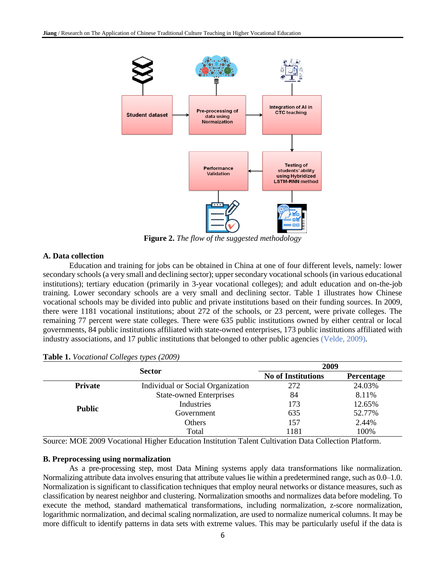

**Figure 2.** *The flow of the suggested methodology*

# **A. Data collection**

Education and training for jobs can be obtained in China at one of four different levels, namely: lower secondary schools (a very small and declining sector); upper secondary vocational schools (in various educational institutions); tertiary education (primarily in 3-year vocational colleges); and adult education and on-the-job training. Lower secondary schools are a very small and declining sector. Table 1 illustrates how Chinese vocational schools may be divided into public and private institutions based on their funding sources. In 2009, there were 1181 vocational institutions; about 272 of the schools, or 23 percent, were private colleges. The remaining 77 percent were state colleges. There were 635 public institutions owned by either central or local governments, 84 public institutions affiliated with state-owned enterprises, 173 public institutions affiliated with industry associations, and 17 public institutions that belonged to other public agencies (Velde, 2009).

|                | $\cdot$<br>╯<br><b>Sector</b>     |      | 2009              |  |
|----------------|-----------------------------------|------|-------------------|--|
|                |                                   |      | <b>Percentage</b> |  |
| <b>Private</b> | Individual or Social Organization | 272  | 24.03%            |  |
|                | <b>State-owned Enterprises</b>    | 84   | 8.11%             |  |
| <b>Public</b>  | Industries                        | 173  | 12.65%            |  |
|                | Government                        | 635  | 52.77%            |  |
|                | Others                            | 157  | 2.44%             |  |
|                | Total                             | 1181 | 100%              |  |

Source: MOE 2009 Vocational Higher Education Institution Talent Cultivation Data Collection Platform.

## **B. Preprocessing using normalization**

As a pre-processing step, most Data Mining systems apply data transformations like normalization. Normalizing attribute data involves ensuring that attribute values lie within a predetermined range, such as 0.0–1.0. Normalization is significant to classification techniques that employ neural networks or distance measures, such as classification by nearest neighbor and clustering. Normalization smooths and normalizes data before modeling. To execute the method, standard mathematical transformations, including normalization, z-score normalization, logarithmic normalization, and decimal scaling normalization, are used to normalize numerical columns. It may be more difficult to identify patterns in data sets with extreme values. This may be particularly useful if the data is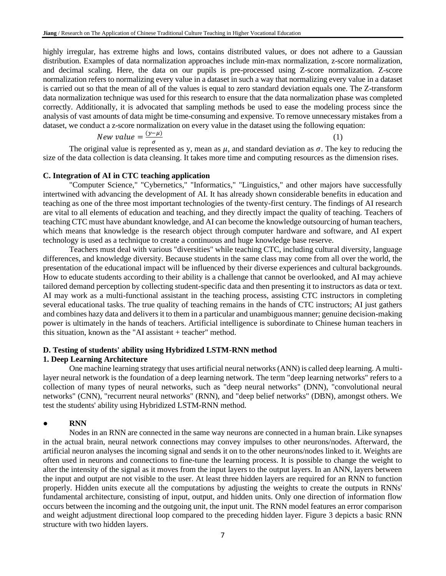highly irregular, has extreme highs and lows, contains distributed values, or does not adhere to a Gaussian distribution. Examples of data normalization approaches include min-max normalization, z-score normalization, and decimal scaling. Here, the data on our pupils is pre-processed using Z-score normalization. Z-score normalization refers to normalizing every value in a dataset in such a way that normalizing every value in a dataset is carried out so that the mean of all of the values is equal to zero standard deviation equals one. The Z-transform data normalization technique was used for this research to ensure that the data normalization phase was completed correctly. Additionally, it is advocated that sampling methods be used to ease the modeling process since the analysis of vast amounts of data might be time-consuming and expensive. To remove unnecessary mistakes from a dataset, we conduct a z-score normalization on every value in the dataset using the following equation:

$$
New value = \frac{(y-\mu)}{\sigma} \tag{1}
$$

The original value is represented as y, mean as  $\mu$ , and standard deviation as  $\sigma$ . The key to reducing the size of the data collection is data cleansing. It takes more time and computing resources as the dimension rises.

# **C. Integration of AI in CTC teaching application**

"Computer Science," "Cybernetics," "Informatics," "Linguistics," and other majors have successfully intertwined with advancing the development of AI. It has already shown considerable benefits in education and teaching as one of the three most important technologies of the twenty-first century. The findings of AI research are vital to all elements of education and teaching, and they directly impact the quality of teaching. Teachers of teaching CTC must have abundant knowledge, and AI can become the knowledge outsourcing of human teachers, which means that knowledge is the research object through computer hardware and software, and AI expert technology is used as a technique to create a continuous and huge knowledge base reserve.

Teachers must deal with various "diversities" while teaching CTC, including cultural diversity, language differences, and knowledge diversity. Because students in the same class may come from all over the world, the presentation of the educational impact will be influenced by their diverse experiences and cultural backgrounds. How to educate students according to their ability is a challenge that cannot be overlooked, and AI may achieve tailored demand perception by collecting student-specific data and then presenting it to instructors as data or text. AI may work as a multi-functional assistant in the teaching process, assisting CTC instructors in completing several educational tasks. The true quality of teaching remains in the hands of CTC instructors; AI just gathers and combines hazy data and delivers it to them in a particular and unambiguous manner; genuine decision-making power is ultimately in the hands of teachers. Artificial intelligence is subordinate to Chinese human teachers in this situation, known as the "AI assistant + teacher" method.

## **D. Testing of students' ability using Hybridized LSTM-RNN method 1. Deep Learning Architecture**

One machine learning strategy that uses artificial neural networks (ANN) is called deep learning. A multilayer neural network is the foundation of a deep learning network. The term "deep learning networks" refers to a collection of many types of neural networks, such as "deep neural networks" (DNN), "convolutional neural networks" (CNN), "recurrent neural networks" (RNN), and "deep belief networks" (DBN), amongst others. We test the students' ability using Hybridized LSTM-RNN method.

## ● **RNN**

Nodes in an RNN are connected in the same way neurons are connected in a human brain. Like synapses in the actual brain, neural network connections may convey impulses to other neurons/nodes. Afterward, the artificial neuron analyses the incoming signal and sends it on to the other neurons/nodes linked to it. Weights are often used in neurons and connections to fine-tune the learning process. It is possible to change the weight to alter the intensity of the signal as it moves from the input layers to the output layers. In an ANN, layers between the input and output are not visible to the user. At least three hidden layers are required for an RNN to function properly. Hidden units execute all the computations by adjusting the weights to create the outputs in RNNs' fundamental architecture, consisting of input, output, and hidden units. Only one direction of information flow occurs between the incoming and the outgoing unit, the input unit. The RNN model features an error comparison and weight adjustment directional loop compared to the preceding hidden layer. Figure 3 depicts a basic RNN structure with two hidden layers.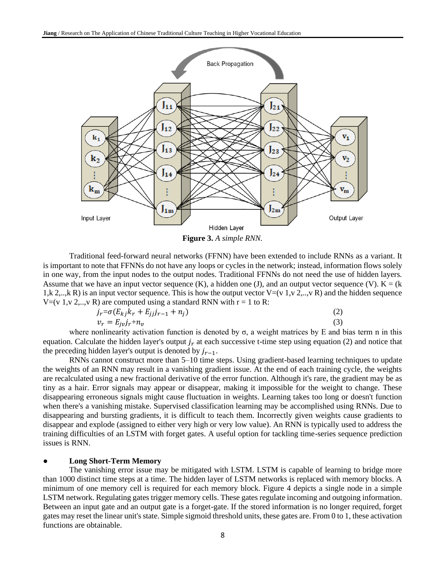

**Figure 3.** *A simple RNN.*

Traditional feed-forward neural networks (FFNN) have been extended to include RNNs as a variant. It is important to note that FFNNs do not have any loops or cycles in the network; instead, information flows solely in one way, from the input nodes to the output nodes. Traditional FFNNs do not need the use of hidden layers. Assume that we have an input vector sequence  $(K)$ , a hidden one  $(J)$ , and an output vector sequence  $(V)$ .  $K = (k)$ 1,k 2,..,k R) is an input vector sequence. This is how the output vector  $V=(v 1, v 2, ..., v R)$  and the hidden sequence  $V=(v 1, v 2, ..., v R)$  are computed using a standard RNN with  $r = 1$  to R:

$$
j_r = \sigma(E_{kj}k_r + E_{jj}j_{r-1} + n_j)
$$
  
\n
$$
v_r = E_{j\nu}j_r + n_\nu
$$
\n(2)

where nonlinearity activation function is denoted by σ, a weight matrices by E and bias term n in this equation. Calculate the hidden layer's output  $j_r$  at each successive t-time step using equation (2) and notice that the preceding hidden layer's output is denoted by  $j_{r-1}$ .

RNNs cannot construct more than 5–10 time steps. Using gradient-based learning techniques to update the weights of an RNN may result in a vanishing gradient issue. At the end of each training cycle, the weights are recalculated using a new fractional derivative of the error function. Although it's rare, the gradient may be as tiny as a hair. Error signals may appear or disappear, making it impossible for the weight to change. These disappearing erroneous signals might cause fluctuation in weights. Learning takes too long or doesn't function when there's a vanishing mistake. Supervised classification learning may be accomplished using RNNs. Due to disappearing and bursting gradients, it is difficult to teach them. Incorrectly given weights cause gradients to disappear and explode (assigned to either very high or very low value). An RNN is typically used to address the training difficulties of an LSTM with forget gates. A useful option for tackling time-series sequence prediction issues is RNN.

## ● **Long Short-Term Memory**

The vanishing error issue may be mitigated with LSTM. LSTM is capable of learning to bridge more than 1000 distinct time steps at a time. The hidden layer of LSTM networks is replaced with memory blocks. A minimum of one memory cell is required for each memory block. Figure 4 depicts a single node in a simple LSTM network. Regulating gates trigger memory cells. These gates regulate incoming and outgoing information. Between an input gate and an output gate is a forget-gate. If the stored information is no longer required, forget gates may reset the linear unit's state. Simple sigmoid threshold units, these gates are. From 0 to 1, these activation functions are obtainable.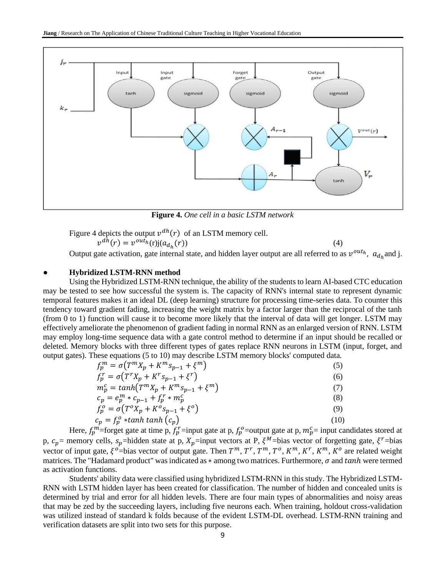

**Figure 4.** *One cell in a basic LSTM network*

Figure 4 depicts the output 
$$
v^{dh}(r)
$$
 of an LSTM memory cell.  
\n
$$
v^{dh}(r) = v^{out_h}(r)j(a_{d_h}(r))
$$
\n(4)

Output gate activation, gate internal state, and hidden layer output are all referred to as  $v^{out_h}$ ,  $a_{d_h}$  and j.

### ● **Hybridized LSTM-RNN method**

Using the Hybridized LSTM-RNN technique, the ability of the students to learn AI-based CTC education may be tested to see how successful the system is. The capacity of RNN's internal state to represent dynamic temporal features makes it an ideal DL (deep learning) structure for processing time-series data. To counter this tendency toward gradient fading, increasing the weight matrix by a factor larger than the reciprocal of the tanh (from 0 to 1) function will cause it to become more likely that the interval of data will get longer. LSTM may effectively ameliorate the phenomenon of gradient fading in normal RNN as an enlarged version of RNN. LSTM may employ long-time sequence data with a gate control method to determine if an input should be recalled or deleted. Memory blocks with three different types of gates replace RNN neurons in LSTM (input, forget, and output gates). These equations (5 to 10) may describe LSTM memory blocks' computed data.

| $f_p^m = \sigma(T^m X_p + K^m S_{p-1} + \xi^m)$ | (5)  |
|-------------------------------------------------|------|
| $f_n^r = \sigma(T^r X_p + K^r S_{p-1} + \xi^r)$ | (6)  |
| $m_p^c = \tanh(T^m X_p + K^m S_{p-1} + \xi^m)$  | (7)  |
| $c_p = e_p^m * c_{p-1} + f_p^r * m_p^c$         | (8)  |
| $f_p^o = \sigma(T^o X_p + K^o S_{p-1} + \xi^o)$ | (9)  |
| $c_p = f_p^o * \tanh \tanh \left(c_p\right)$    | (10) |

Here,  $f_p^m$ =forget gate at time p,  $f_p^r$ =input gate at p,  $f_p^o$ =output gate at p,  $m_p^c$ = input candidates stored at p,  $c_p$  = memory cells,  $s_p$  = hidden state at p,  $X_p$  = input vectors at P,  $\xi^M$  = bias vector of forgetting gate,  $\xi^r$  = bias vector of input gate,  $\xi^o$ =bias vector of output gate. Then  $T^m$ ,  $T^r$ ,  $T^m$ ,  $T^o$ ,  $K^m$ ,  $K^r$ ,  $K^m$ ,  $K^o$  are related weight matrices. The "Hadamard product" was indicated as  $*$  among two matrices. Furthermore,  $\sigma$  and  $tanh$  were termed as activation functions.

Students' ability data were classified using hybridized LSTM-RNN in this study. The Hybridized LSTM-RNN with LSTM hidden layer has been created for classification. The number of hidden and concealed units is determined by trial and error for all hidden levels. There are four main types of abnormalities and noisy areas that may be zed by the succeeding layers, including five neurons each. When training, holdout cross-validation was utilized instead of standard k folds because of the evident LSTM-DL overhead. LSTM-RNN training and verification datasets are split into two sets for this purpose.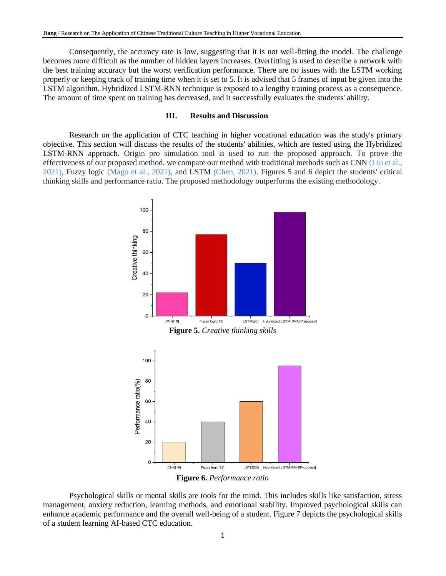Consequently, the accuracy rate is low, suggesting that it is not well-fitting the model. The challenge becomes more difficult as the number of hidden layers increases. Overfitting is used to describe a network with the best training accuracy but the worst verification performance. There are no issues with the LSTM working properly or keeping track of training time when it is set to 5. It is advised that 5 frames of input be given into the LSTM algorithm. Hybridized LSTM-RNN technique is exposed to a lengthy training process as a consequence. The amount of time spent on training has decreased, and it successfully evaluates the students' ability.

# **III. Results and Discussion**

Research on the application of CTC teaching in higher vocational education was the study's primary objective. This section will discuss the results of the students' abilities, which are tested using the Hybridized LSTM-RNN approach. Origin pro simulation tool is used to run the proposed approach. To prove the effectiveness of our proposed method, we compare our method with traditional methods such as CNN (Liu et al., 2021), Fuzzy logic (Mago et al., 2021), and LSTM (Chen, 2021). Figures 5 and 6 depict the students' critical thinking skills and performance ratio. The proposed methodology outperforms the existing methodology.



**Figure 6.** *Performance ratio*

Psychological skills or mental skills are tools for the mind. This includes skills like satisfaction, stress management, anxiety reduction, learning methods, and emotional stability. Improved psychological skills can enhance academic performance and the overall well-being of a student. Figure 7 depicts the psychological skills of a student learning AI-based CTC education.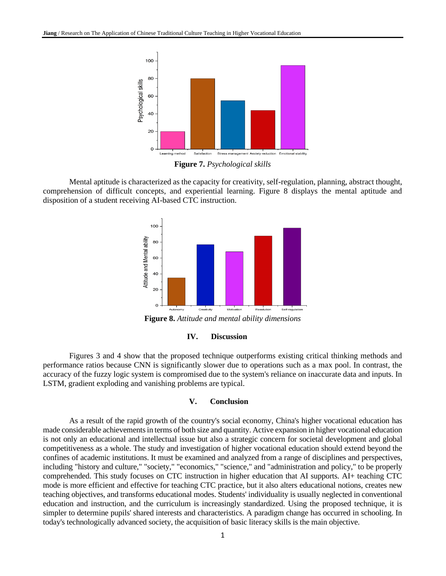

**Figure 7.** *Psychological skills*

Mental aptitude is characterized as the capacity for creativity, self-regulation, planning, abstract thought, comprehension of difficult concepts, and experiential learning. Figure 8 displays the mental aptitude and disposition of a student receiving AI-based CTC instruction.



**Figure 8.** *Attitude and mental ability dimensions*

## **IV. Discussion**

Figures 3 and 4 show that the proposed technique outperforms existing critical thinking methods and performance ratios because CNN is significantly slower due to operations such as a max pool. In contrast, the accuracy of the fuzzy logic system is compromised due to the system's reliance on inaccurate data and inputs. In LSTM, gradient exploding and vanishing problems are typical.

## **V. Conclusion**

As a result of the rapid growth of the country's social economy, China's higher vocational education has made considerable achievements in terms of both size and quantity. Active expansion in higher vocational education is not only an educational and intellectual issue but also a strategic concern for societal development and global competitiveness as a whole. The study and investigation of higher vocational education should extend beyond the confines of academic institutions. It must be examined and analyzed from a range of disciplines and perspectives, including "history and culture," "society," "economics," "science," and "administration and policy," to be properly comprehended. This study focuses on CTC instruction in higher education that AI supports. AI+ teaching CTC mode is more efficient and effective for teaching CTC practice, but it also alters educational notions, creates new teaching objectives, and transforms educational modes. Students' individuality is usually neglected in conventional education and instruction, and the curriculum is increasingly standardized. Using the proposed technique, it is simpler to determine pupils' shared interests and characteristics. A paradigm change has occurred in schooling. In today's technologically advanced society, the acquisition of basic literacy skills is the main objective.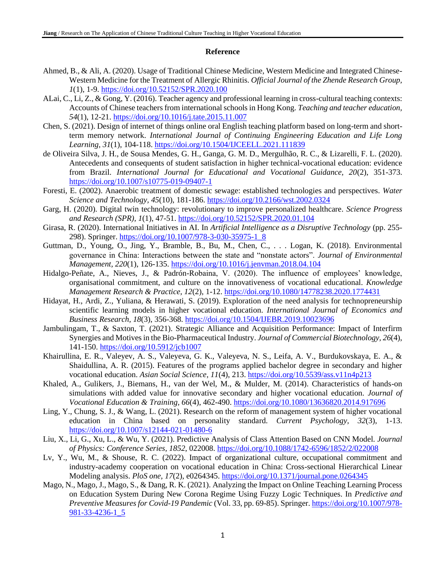## **Reference**

- Ahmed, B., & Ali, A. (2020). Usage of Traditional Chinese Medicine, Western Medicine and Integrated Chinese-Western Medicine for the Treatment of Allergic Rhinitis. *Official Journal of the Zhende Research Group, 1*(1), 1-9.<https://doi.org/10.52152/SPR.2020.100>
- ALai, C., Li, Z., & Gong, Y. (2016). Teacher agency and professional learning in cross-cultural teaching contexts: Accounts of Chinese teachers from international schools in Hong Kong. *Teaching and teacher education, 54*(1), 12-21.<https://doi.org/10.1016/j.tate.2015.11.007>
- Chen, S. (2021). Design of internet of things online oral English teaching platform based on long-term and shortterm memory network. *International Journal of Continuing Engineering Education and Life Long Learning, 31*(1), 104-118.<https://doi.org/10.1504/IJCEELL.2021.111839>
- de Oliveira Silva, J. H., de Sousa Mendes, G. H., Ganga, G. M. D., Mergulhão, R. C., & Lizarelli, F. L. (2020). Antecedents and consequents of student satisfaction in higher technical-vocational education: evidence from Brazil. *International Journal for Educational and Vocational Guidance, 20*(2), 351-373. <https://doi.org/10.1007/s10775-019-09407-1>
- Foresti, E. (2002). Anaerobic treatment of domestic sewage: established technologies and perspectives. *Water Science and Technology, 45*(10), 181-186.<https://doi.org/10.2166/wst.2002.0324>
- Garg, H. (2020). Digital twin technology: revolutionary to improve personalized healthcare. *Science Progress and Research (SPR), 1*(1), 47-51[. https://doi.org/10.52152/SPR.2020.01.104](https://doi.org/10.52152/SPR.2020.01.104)
- Girasa, R. (2020). International Initiatives in AI. In *Artificial Intelligence as a Disruptive Technology* (pp. 255- 298). Springer. [https://doi.org/10.1007/978-3-030-35975-1\\_8](https://doi.org/10.1007/978-3-030-35975-1_8)
- Guttman, D., Young, O., Jing, Y., Bramble, B., Bu, M., Chen, C., . . . Logan, K. (2018). Environmental governance in China: Interactions between the state and "nonstate actors". *Journal of Environmental Management, 220*(1), 126-135.<https://doi.org/10.1016/j.jenvman.2018.04.104>
- Hidalgo-Peñate, A., Nieves, J., & Padrón-Robaina, V. (2020). The influence of employees' knowledge, organisational commitment, and culture on the innovativeness of vocational educational. *Knowledge Management Research & Practice, 12*(2), 1-12.<https://doi.org/10.1080/14778238.2020.1774431>
- Hidayat, H., Ardi, Z., Yuliana, & Herawati, S. (2019). Exploration of the need analysis for technopreneurship scientific learning models in higher vocational education. *International Journal of Economics and Business Research, 18*(3), 356-368.<https://doi.org/10.1504/IJEBR.2019.10023696>
- Jambulingam, T., & Saxton, T. (2021). Strategic Alliance and Acquisition Performance: Impact of Interfirm Synergies and Motives in the Bio-Pharmaceutical Industry. *Journal of Commercial Biotechnology, 26*(4), 141-150.<https://doi.org/10.5912/jcb1007>
- Khairullina, E. R., Valeyev, A. S., Valeyeva, G. K., Valeyeva, N. S., Leifa, A. V., Burdukovskaya, E. A., & Shaidullina, A. R. (2015). Features of the programs applied bachelor degree in secondary and higher vocational education. *Asian Social Science, 11*(4), 213.<https://doi.org/10.5539/ass.v11n4p213>
- Khaled, A., Gulikers, J., Biemans, H., van der Wel, M., & Mulder, M. (2014). Characteristics of hands-on simulations with added value for innovative secondary and higher vocational education. *Journal of Vocational Education & Training, 66*(4), 462-490.<https://doi.org/10.1080/13636820.2014.917696>
- Ling, Y., Chung, S. J., & Wang, L. (2021). Research on the reform of management system of higher vocational education in China based on personality standard. *Current Psychology, 32*(3), 1-13. <https://doi.org/10.1007/s12144-021-01480-6>
- Liu, X., Li, G., Xu, L., & Wu, Y. (2021). Predictive Analysis of Class Attention Based on CNN Model. *Journal of Physics: Conference Series, 1852*, 022008.<https://doi.org/10.1088/1742-6596/1852/2/022008>
- Lv, Y., Wu, M., & Shouse, R. C. (2022). Impact of organizational culture, occupational commitment and industry-academy cooperation on vocational education in China: Cross-sectional Hierarchical Linear Modeling analysis. *PloS one, 17*(2), e0264345.<https://doi.org/10.1371/journal.pone.0264345>
- Mago, N., Mago, J., Mago, S., & Dang, R. K. (2021). Analyzing the Impact on Online Teaching Learning Process on Education System During New Corona Regime Using Fuzzy Logic Techniques. In *Predictive and Preventive Measures for Covid-19 Pandemic* (Vol. 33, pp. 69-85). Springer[. https://doi.org/10.1007/978-](https://doi.org/10.1007/978-981-33-4236-1_5) [981-33-4236-1\\_5](https://doi.org/10.1007/978-981-33-4236-1_5)